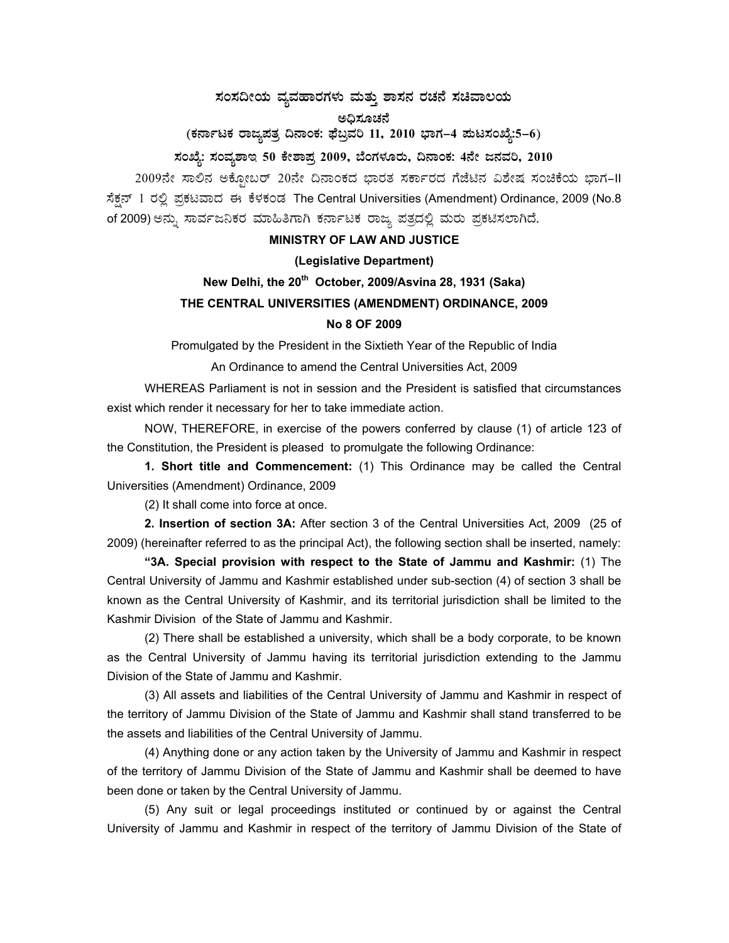# $\,$ ಸಂಸದೀಯ ವ್ಯವಹಾರಗಳು ಮತ್ತು ಶಾಸನ ರಚನೆ ಸಚಿವಾಲಯ

ಅಧಿಸೂಚನೆ

(ಕರ್ನಾಟಕ ರಾಜ್ಯಪತ್ರ ದಿನಾಂಕ: ಫೆಬ್ರವರಿ 11, 2010 ಭಾಗ–4 **ಮಟಸಂಖ್ಯೆ:5–6**)

### ಸಂಖ್ಯೆ: ಸಂವ್ನಶಾಇ 50 ಕೇಶಾಪ್ರ 2009, ಬೆಂಗಳೂರು, ದಿನಾಂಕ: 4ನೇ ಜನವರಿ, 2010

2009ನೇ ಸಾಲಿನ ಅಕ್ಸೋಬರ್ 20ನೇ ದಿನಾಂಕದ ಭಾರತ ಸರ್ಕಾರದ ಗೆಜೆಟಿನ ವಿಶೇಷ ಸಂಚಿಕೆಯ ಭಾಗ-II ಸೆಕ್ಷನ್ 1 ರಲ್ಲಿ ಪ್ರಕಟವಾದ ಈ ಕೆಳಕಂಡ The Central Universities (Amendment) Ordinance, 2009 (No.8 of 2009) ಅನ್ನು ಸಾರ್ವಜನಿಕರ ಮಾಹಿತಿಗಾಗಿ ಕರ್ನಾಟಕ ರಾಜ್ಯ ಪತ್ರದಲ್ಲಿ ಮರು ಪ್ರಕಟಿಸಲಾಗಿದೆ.

#### **MINISTRY OF LAW AND JUSTICE**

#### **(Legislative Department)**

## **New Delhi, the 20th October, 2009/Asvina 28, 1931 (Saka) THE CENTRAL UNIVERSITIES (AMENDMENT) ORDINANCE, 2009 No 8 OF 2009**

Promulgated by the President in the Sixtieth Year of the Republic of India

An Ordinance to amend the Central Universities Act, 2009

 WHEREAS Parliament is not in session and the President is satisfied that circumstances exist which render it necessary for her to take immediate action.

 NOW, THEREFORE, in exercise of the powers conferred by clause (1) of article 123 of the Constitution, the President is pleased to promulgate the following Ordinance:

 **1. Short title and Commencement:** (1) This Ordinance may be called the Central Universities (Amendment) Ordinance, 2009

(2) It shall come into force at once.

**2. Insertion of section 3A:** After section 3 of the Central Universities Act, 2009 (25 of 2009) (hereinafter referred to as the principal Act), the following section shall be inserted, namely:

**"3A. Special provision with respect to the State of Jammu and Kashmir:** (1) The Central University of Jammu and Kashmir established under sub-section (4) of section 3 shall be known as the Central University of Kashmir, and its territorial jurisdiction shall be limited to the Kashmir Division of the State of Jammu and Kashmir.

 (2) There shall be established a university, which shall be a body corporate, to be known as the Central University of Jammu having its territorial jurisdiction extending to the Jammu Division of the State of Jammu and Kashmir.

 (3) All assets and liabilities of the Central University of Jammu and Kashmir in respect of the territory of Jammu Division of the State of Jammu and Kashmir shall stand transferred to be the assets and liabilities of the Central University of Jammu.

 (4) Anything done or any action taken by the University of Jammu and Kashmir in respect of the territory of Jammu Division of the State of Jammu and Kashmir shall be deemed to have been done or taken by the Central University of Jammu.

 (5) Any suit or legal proceedings instituted or continued by or against the Central University of Jammu and Kashmir in respect of the territory of Jammu Division of the State of